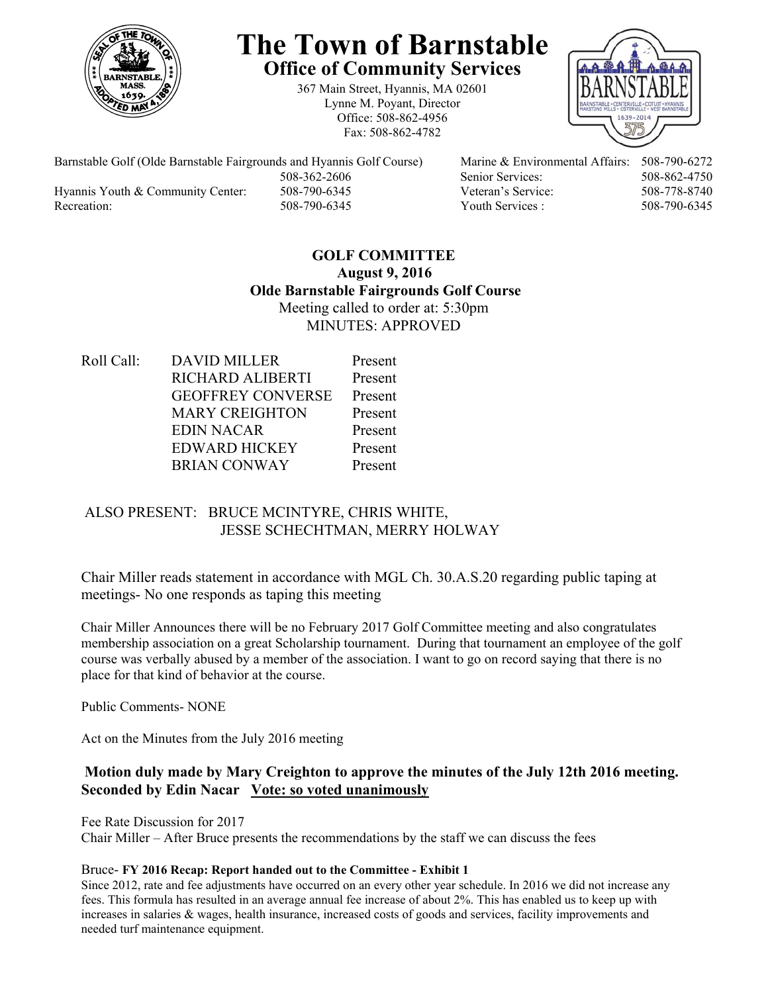

# **The Town of Barnstable Office of Community Services**

367 Main Street, Hyannis, MA 02601 Lynne M. Poyant, Director Office: 508-862-4956 Fax: 508-862-4782



Barnstable Golf (Olde Barnstable Fairgrounds and Hyannis Golf Course) Marine & Environmental Affairs: 508-790-6272 508-362-2606 Senior Services: 508-862-4750 Hyannis Youth & Community Center: 508-790-6345 Veteran's Service: 508-778-8740 Recreation: 508-790-6345 Youth Services : 508-790-6345 S08-790-6345

# **GOLF COMMITTEE August 9, 2016 Olde Barnstable Fairgrounds Golf Course**  Meeting called to order at: 5:30pm MINUTES: APPROVED

Roll Call: DAVID MILLER Present RICHARD ALIBERTI Present GEOFFREY CONVERSE Present MARY CREIGHTON Present EDIN NACAR Present EDWARD HICKEY Present BRIAN CONWAY Present

# ALSO PRESENT: BRUCE MCINTYRE, CHRIS WHITE, JESSE SCHECHTMAN, MERRY HOLWAY

Chair Miller reads statement in accordance with MGL Ch. 30.A.S.20 regarding public taping at meetings- No one responds as taping this meeting

Chair Miller Announces there will be no February 2017 Golf Committee meeting and also congratulates membership association on a great Scholarship tournament. During that tournament an employee of the golf course was verbally abused by a member of the association. I want to go on record saying that there is no place for that kind of behavior at the course.

Public Comments- NONE

Act on the Minutes from the July 2016 meeting

# **Motion duly made by Mary Creighton to approve the minutes of the July 12th 2016 meeting. Seconded by Edin Nacar Vote: so voted unanimously**

Fee Rate Discussion for 2017

Chair Miller – After Bruce presents the recommendations by the staff we can discuss the fees

### Bruce- **FY 2016 Recap: Report handed out to the Committee - Exhibit 1**

Since 2012, rate and fee adjustments have occurred on an every other year schedule. In 2016 we did not increase any fees. This formula has resulted in an average annual fee increase of about 2%. This has enabled us to keep up with increases in salaries & wages, health insurance, increased costs of goods and services, facility improvements and needed turf maintenance equipment.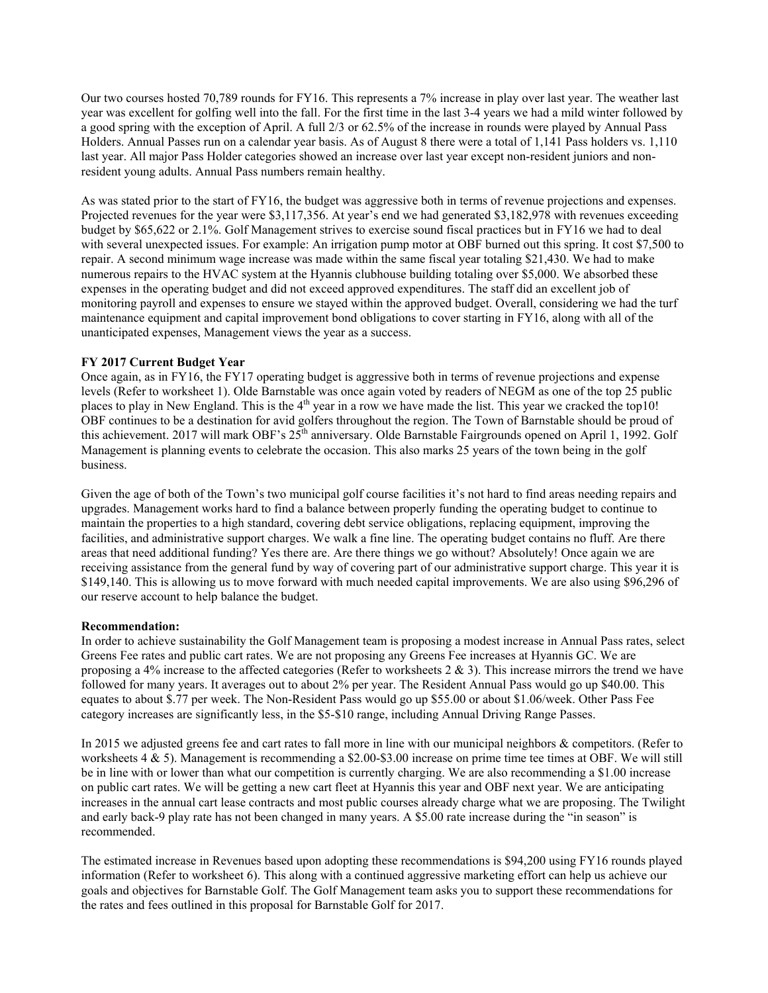Our two courses hosted 70,789 rounds for FY16. This represents a 7% increase in play over last year. The weather last year was excellent for golfing well into the fall. For the first time in the last 3-4 years we had a mild winter followed by a good spring with the exception of April. A full 2/3 or 62.5% of the increase in rounds were played by Annual Pass Holders. Annual Passes run on a calendar year basis. As of August 8 there were a total of 1,141 Pass holders vs. 1,110 last year. All major Pass Holder categories showed an increase over last year except non-resident juniors and nonresident young adults. Annual Pass numbers remain healthy.

As was stated prior to the start of FY16, the budget was aggressive both in terms of revenue projections and expenses. Projected revenues for the year were \$3,117,356. At year's end we had generated \$3,182,978 with revenues exceeding budget by \$65,622 or 2.1%. Golf Management strives to exercise sound fiscal practices but in FY16 we had to deal with several unexpected issues. For example: An irrigation pump motor at OBF burned out this spring. It cost \$7,500 to repair. A second minimum wage increase was made within the same fiscal year totaling \$21,430. We had to make numerous repairs to the HVAC system at the Hyannis clubhouse building totaling over \$5,000. We absorbed these expenses in the operating budget and did not exceed approved expenditures. The staff did an excellent job of monitoring payroll and expenses to ensure we stayed within the approved budget. Overall, considering we had the turf maintenance equipment and capital improvement bond obligations to cover starting in FY16, along with all of the unanticipated expenses, Management views the year as a success.

#### **FY 2017 Current Budget Year**

Once again, as in FY16, the FY17 operating budget is aggressive both in terms of revenue projections and expense levels (Refer to worksheet 1). Olde Barnstable was once again voted by readers of NEGM as one of the top 25 public places to play in New England. This is the  $4<sup>th</sup>$  year in a row we have made the list. This year we cracked the top10! OBF continues to be a destination for avid golfers throughout the region. The Town of Barnstable should be proud of this achievement. 2017 will mark OBF's 25<sup>th</sup> anniversary. Olde Barnstable Fairgrounds opened on April 1, 1992. Golf Management is planning events to celebrate the occasion. This also marks 25 years of the town being in the golf business.

Given the age of both of the Town's two municipal golf course facilities it's not hard to find areas needing repairs and upgrades. Management works hard to find a balance between properly funding the operating budget to continue to maintain the properties to a high standard, covering debt service obligations, replacing equipment, improving the facilities, and administrative support charges. We walk a fine line. The operating budget contains no fluff. Are there areas that need additional funding? Yes there are. Are there things we go without? Absolutely! Once again we are receiving assistance from the general fund by way of covering part of our administrative support charge. This year it is \$149,140. This is allowing us to move forward with much needed capital improvements. We are also using \$96,296 of our reserve account to help balance the budget.

#### **Recommendation:**

In order to achieve sustainability the Golf Management team is proposing a modest increase in Annual Pass rates, select Greens Fee rates and public cart rates. We are not proposing any Greens Fee increases at Hyannis GC. We are proposing a 4% increase to the affected categories (Refer to worksheets  $2 \& 3$ ). This increase mirrors the trend we have followed for many years. It averages out to about 2% per year. The Resident Annual Pass would go up \$40.00. This equates to about \$.77 per week. The Non-Resident Pass would go up \$55.00 or about \$1.06/week. Other Pass Fee category increases are significantly less, in the \$5-\$10 range, including Annual Driving Range Passes.

In 2015 we adjusted greens fee and cart rates to fall more in line with our municipal neighbors & competitors. (Refer to worksheets 4 & 5). Management is recommending a \$2.00-\$3.00 increase on prime time tee times at OBF. We will still be in line with or lower than what our competition is currently charging. We are also recommending a \$1.00 increase on public cart rates. We will be getting a new cart fleet at Hyannis this year and OBF next year. We are anticipating increases in the annual cart lease contracts and most public courses already charge what we are proposing. The Twilight and early back-9 play rate has not been changed in many years. A \$5.00 rate increase during the "in season" is recommended.

The estimated increase in Revenues based upon adopting these recommendations is \$94,200 using FY16 rounds played information (Refer to worksheet 6). This along with a continued aggressive marketing effort can help us achieve our goals and objectives for Barnstable Golf. The Golf Management team asks you to support these recommendations for the rates and fees outlined in this proposal for Barnstable Golf for 2017.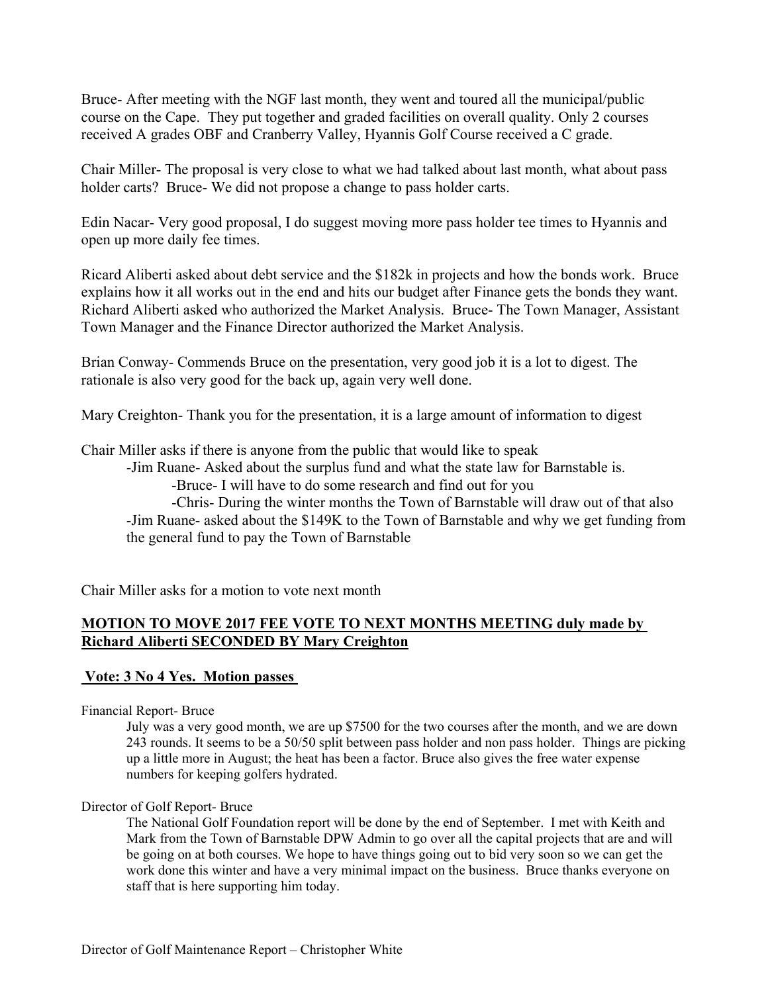Bruce- After meeting with the NGF last month, they went and toured all the municipal/public course on the Cape. They put together and graded facilities on overall quality. Only 2 courses received A grades OBF and Cranberry Valley, Hyannis Golf Course received a C grade.

Chair Miller- The proposal is very close to what we had talked about last month, what about pass holder carts? Bruce- We did not propose a change to pass holder carts.

Edin Nacar- Very good proposal, I do suggest moving more pass holder tee times to Hyannis and open up more daily fee times.

Ricard Aliberti asked about debt service and the \$182k in projects and how the bonds work. Bruce explains how it all works out in the end and hits our budget after Finance gets the bonds they want. Richard Aliberti asked who authorized the Market Analysis. Bruce- The Town Manager, Assistant Town Manager and the Finance Director authorized the Market Analysis.

Brian Conway- Commends Bruce on the presentation, very good job it is a lot to digest. The rationale is also very good for the back up, again very well done.

Mary Creighton- Thank you for the presentation, it is a large amount of information to digest

Chair Miller asks if there is anyone from the public that would like to speak

-Jim Ruane- Asked about the surplus fund and what the state law for Barnstable is.

-Bruce- I will have to do some research and find out for you

 -Chris- During the winter months the Town of Barnstable will draw out of that also -Jim Ruane- asked about the \$149K to the Town of Barnstable and why we get funding from the general fund to pay the Town of Barnstable

Chair Miller asks for a motion to vote next month

# **MOTION TO MOVE 2017 FEE VOTE TO NEXT MONTHS MEETING duly made by Richard Aliberti SECONDED BY Mary Creighton**

## **Vote: 3 No 4 Yes. Motion passes**

Financial Report- Bruce

July was a very good month, we are up \$7500 for the two courses after the month, and we are down 243 rounds. It seems to be a 50/50 split between pass holder and non pass holder. Things are picking up a little more in August; the heat has been a factor. Bruce also gives the free water expense numbers for keeping golfers hydrated.

## Director of Golf Report- Bruce

The National Golf Foundation report will be done by the end of September. I met with Keith and Mark from the Town of Barnstable DPW Admin to go over all the capital projects that are and will be going on at both courses. We hope to have things going out to bid very soon so we can get the work done this winter and have a very minimal impact on the business. Bruce thanks everyone on staff that is here supporting him today.